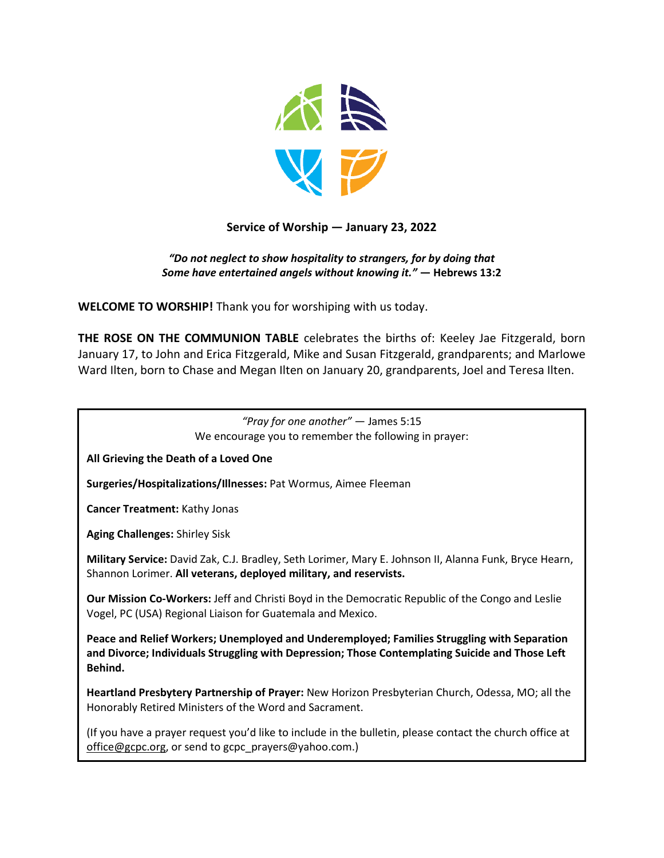

# **Service of Worship — January 23, 2022**

### *"Do not neglect to show hospitality to strangers, for by doing that Some have entertained angels without knowing it."* **— Hebrews 13:2**

**WELCOME TO WORSHIP!** Thank you for worshiping with us today.

**THE ROSE ON THE COMMUNION TABLE** celebrates the births of: Keeley Jae Fitzgerald, born January 17, to John and Erica Fitzgerald, Mike and Susan Fitzgerald, grandparents; and Marlowe Ward Ilten, born to Chase and Megan Ilten on January 20, grandparents, Joel and Teresa Ilten.

*"Pray for one another"* — James 5:15 We encourage you to remember the following in prayer: **All Grieving the Death of a Loved One Surgeries/Hospitalizations/Illnesses:** Pat Wormus, Aimee Fleeman **Cancer Treatment:** Kathy Jonas **Aging Challenges:** Shirley Sisk **Military Service:** David Zak, C.J. Bradley, Seth Lorimer, Mary E. Johnson II, Alanna Funk, Bryce Hearn, Shannon Lorimer. **All veterans, deployed military, and reservists. Our Mission Co-Workers:** Jeff and Christi Boyd in the Democratic Republic of the Congo and Leslie Vogel, PC (USA) Regional Liaison for Guatemala and Mexico. **Peace and Relief Workers; Unemployed and Underemployed; Families Struggling with Separation and Divorce; Individuals Struggling with Depression; Those Contemplating Suicide and Those Left Behind. Heartland Presbytery Partnership of Prayer:** New Horizon Presbyterian Church, Odessa, MO; all the Honorably Retired Ministers of the Word and Sacrament. (If you have a prayer request you'd like to include in the bulletin, please contact the church office at [office@gcpc.org,](mailto:office@gcpc.org) or send to gcpc\_prayers@yahoo.com.)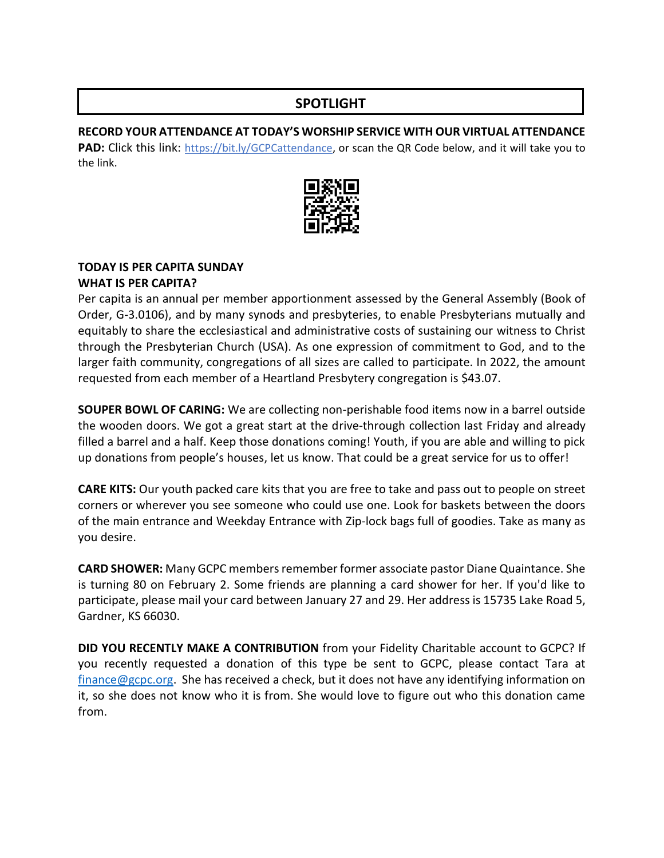# **SPOTLIGHT**

### **RECORD YOUR ATTENDANCE AT TODAY'S WORSHIP SERVICE WITH OUR VIRTUAL ATTENDANCE**

**PAD:** Click this link: [https://bit.ly/GCPCattendance,](https://bit.ly/GCPCattendance) or scan the QR Code below, and it will take you to the link.



## **TODAY IS PER CAPITA SUNDAY**

#### **WHAT IS PER CAPITA?**

Per capita is an annual per member apportionment assessed by the General Assembly (Book of Order, G-3.0106), and by many synods and presbyteries, to enable Presbyterians mutually and equitably to share the ecclesiastical and administrative costs of sustaining our witness to Christ through the Presbyterian Church (USA). As one expression of commitment to God, and to the larger faith community, congregations of all sizes are called to participate. In 2022, the amount requested from each member of a Heartland Presbytery congregation is \$43.07.

**SOUPER BOWL OF CARING:** We are collecting non-perishable food items now in a barrel outside the wooden doors. We got a great start at the drive-through collection last Friday and already filled a barrel and a half. Keep those donations coming! Youth, if you are able and willing to pick up donations from people's houses, let us know. That could be a great service for us to offer!

**CARE KITS:** Our youth packed care kits that you are free to take and pass out to people on street corners or wherever you see someone who could use one. Look for baskets between the doors of the main entrance and Weekday Entrance with Zip-lock bags full of goodies. Take as many as you desire.

**CARD SHOWER:** Many GCPC members remember former associate pastor Diane Quaintance. She is turning 80 on February 2. Some friends are planning a card shower for her. If you'd like to participate, please mail your card between January 27 and 29. Her address is 15735 Lake Road 5, Gardner, KS 66030.

**DID YOU RECENTLY MAKE A CONTRIBUTION** from your Fidelity Charitable account to GCPC? If you recently requested a donation of this type be sent to GCPC, please contact Tara at [finance@gcpc.org.](mailto:finance@gcpc.org) She has received a check, but it does not have any identifying information on it, so she does not know who it is from. She would love to figure out who this donation came from.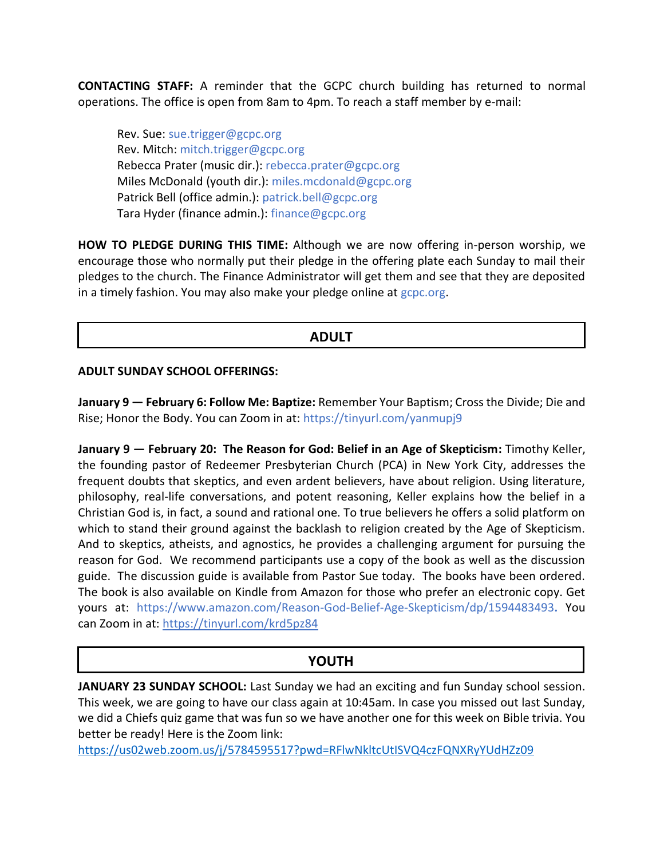**CONTACTING STAFF:** A reminder that the GCPC church building has returned to normal operations. The office is open from 8am to 4pm. To reach a staff member by e-mail:

Rev. Sue: [sue.trigger@gcpc.org](mailto:sue.trigger@gcpc.org) Rev. Mitch: [mitch.trigger@gcpc.org](mailto:mitch.trigger@gcpc.org) Rebecca Prater (music dir.): [rebecca.prater@gcpc.org](mailto:rebecca.prater@gcpc.org) Miles McDonald (youth dir.): [miles.mcdonald@gcpc.org](mailto:miles.mcdonald@gcpc.org) Patrick Bell (office admin.): [patrick.bell@gcpc.org](mailto:patrick.bell@gcpc.org) Tara Hyder (finance admin.): [finance@gcpc.org](mailto:finance@gcpc.org)

**HOW TO PLEDGE DURING THIS TIME:** Although we are now offering in-person worship, we encourage those who normally put their pledge in the offering plate each Sunday to mail their pledges to the church. The Finance Administrator will get them and see that they are deposited in a timely fashion. You may also make your pledge online at [gcpc.org.](https://gcpc.org/about-us/donate.html)

## **ADULT**

#### **ADULT SUNDAY SCHOOL OFFERINGS:**

**January 9 — February 6: Follow Me: Baptize:** Remember Your Baptism; Cross the Divide; Die and Rise; Honor the Body. You can Zoom in at: https://tinyurl.com/yanmupj9

**January 9 — February 20: The Reason for God: Belief in an Age of Skepticism:** Timothy Keller, the founding pastor of Redeemer Presbyterian Church (PCA) in New York City, addresses the frequent doubts that skeptics, and even ardent believers, have about religion. Using literature, philosophy, real-life conversations, and potent reasoning, Keller explains how the belief in a Christian God is, in fact, a sound and rational one. To true believers he offers a solid platform on which to stand their ground against the backlash to religion created by the Age of Skepticism. And to skeptics, atheists, and agnostics, he provides a challenging argument for pursuing the reason for God. We recommend participants use a copy of the book as well as the discussion guide. The discussion guide is available from Pastor Sue today. The books have been ordered. The book is also available on Kindle from Amazon for those who prefer an electronic copy. Get yours at: <https://www.amazon.com/Reason-God-Belief-Age-Skepticism/dp/1594483493>**.** You can Zoom in at:<https://tinyurl.com/krd5pz84>

# **YOUTH**

JANUARY 23 SUNDAY SCHOOL: Last Sunday we had an exciting and fun Sunday school session. This week, we are going to have our class again at 10:45am. In case you missed out last Sunday, we did a Chiefs quiz game that was fun so we have another one for this week on Bible trivia. You better be ready! Here is the Zoom link:

[https://us02web.zoom.us/j/5784595517?pwd=RFlwNkltcUtISVQ4czFQNXRyYUdHZz09](https://us02web.zoom.us/j/5784595517?pwd=RFlwNkltcUtISVQ4czFQNXRyYUdHZz09%20)